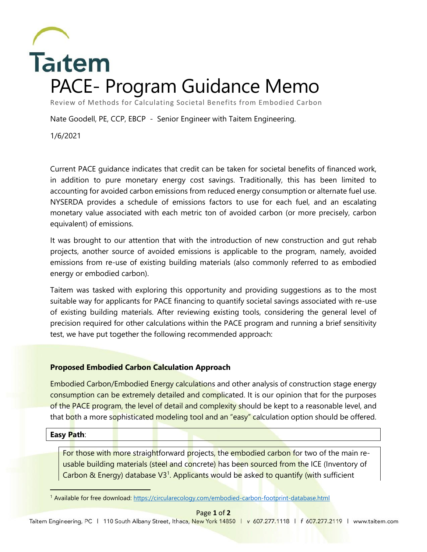

Review of Methods for Calculating Societal Benefits from Embodied Carbon

Nate Goodell, PE, CCP, EBCP - Senior Engineer with Taitem Engineering.

1/6/2021

Current PACE guidance indicates that credit can be taken for societal benefits of financed work, in addition to pure monetary energy cost savings. Traditionally, this has been limited to accounting for avoided carbon emissions from reduced energy consumption or alternate fuel use. NYSERDA provides a schedule of emissions factors to use for each fuel, and an escalating monetary value associated with each metric ton of avoided carbon (or more precisely, carbon equivalent) of emissions.

It was brought to our attention that with the introduction of new construction and gut rehab projects, another source of avoided emissions is applicable to the program, namely, avoided emissions from re-use of existing building materials (also commonly referred to as embodied energy or embodied carbon).

Taitem was tasked with exploring this opportunity and providing suggestions as to the most suitable way for applicants for PACE financing to quantify societal savings associated with re-use of existing building materials. After reviewing existing tools, considering the general level of precision required for other calculations within the PACE program and running a brief sensitivity test, we have put together the following recommended approach:

## **Proposed Embodied Carbon Calculation Approach**

Embodied Carbon/Embodied Energy calculations and other analysis of construction stage energy consumption can be extremely detailed and complicated. It is our opinion that for the purposes of the PACE program, the level of detail and complexity should be kept to a reasonable level, and that both a more sophisticated modeling tool and an "easy" calculation option should be offered.

## **Easy Path**:

For those with more straightforward projects, the embodied carbon for two of the main reusable building materials (steel and concrete) has been sourced from the ICE (Inventory of Carbon & Energy) database V3<sup>1</sup>. Applicants would be asked to quantify (with sufficient

<sup>1</sup> Available for free download:<https://circularecology.com/embodied-carbon-footprint-database.html>